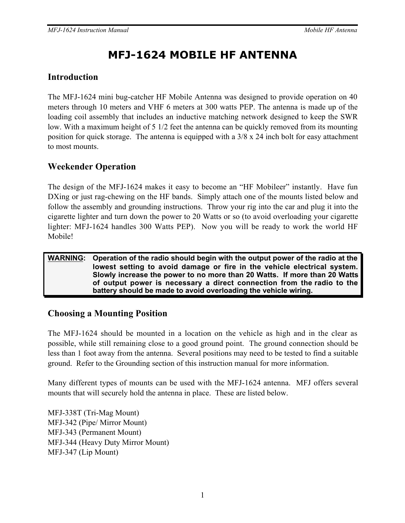# **MFJ-1624 MOBILE HF ANTENNA**

### **Introduction**

The MFJ-1624 mini bug-catcher HF Mobile Antenna was designed to provide operation on 40 meters through 10 meters and VHF 6 meters at 300 watts PEP. The antenna is made up of the loading coil assembly that includes an inductive matching network designed to keep the SWR low. With a maximum height of 5 1/2 feet the antenna can be quickly removed from its mounting position for quick storage. The antenna is equipped with a 3/8 x 24 inch bolt for easy attachment to most mounts.

## **Weekender Operation**

The design of the MFJ-1624 makes it easy to become an "HF Mobileer" instantly. Have fun DXing or just rag-chewing on the HF bands. Simply attach one of the mounts listed below and follow the assembly and grounding instructions. Throw your rig into the car and plug it into the cigarette lighter and turn down the power to 20 Watts or so (to avoid overloading your cigarette lighter: MFJ-1624 handles 300 Watts PEP). Now you will be ready to work the world HF Mobile!

#### **WARNING: Operation of the radio should begin with the output power of the radio at the lowest setting to avoid damage or fire in the vehicle electrical system. Slowly increase the power to no more than 20 Watts. If more than 20 Watts of output power is necessary a direct connection from the radio to the battery should be made to avoid overloading the vehicle wiring.**

### **Choosing a Mounting Position**

The MFJ-1624 should be mounted in a location on the vehicle as high and in the clear as possible, while still remaining close to a good ground point. The ground connection should be less than 1 foot away from the antenna. Several positions may need to be tested to find a suitable ground. Refer to the Grounding section of this instruction manual for more information.

Many different types of mounts can be used with the MFJ-1624 antenna. MFJ offers several mounts that will securely hold the antenna in place. These are listed below.

MFJ-338T (Tri-Mag Mount) MFJ-342 (Pipe/ Mirror Mount) MFJ-343 (Permanent Mount) MFJ-344 (Heavy Duty Mirror Mount) MFJ-347 (Lip Mount)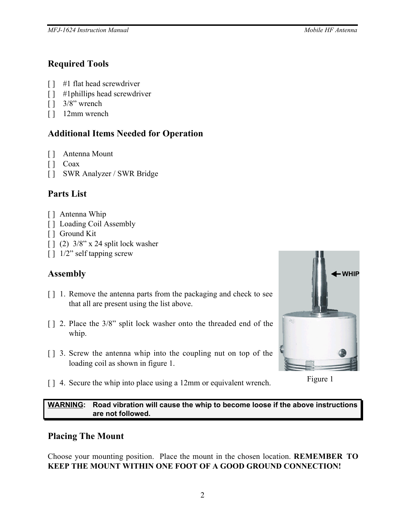### **Required Tools**

- [ ] #1 flat head screwdriver
- [ ] #1 phillips head screwdriver
- [ ] 3/8" wrench
- [ ] 12mm wrench

# **Additional Items Needed for Operation**

- [ ] Antenna Mount
- [] Coax
- [ ] SWR Analyzer / SWR Bridge

# **Parts List**

- [ ] Antenna Whip
- [ ] Loading Coil Assembly
- [ ] Ground Kit
- [ ] (2)  $3/8$ " x 24 split lock washer
- [ ]  $1/2$ " self tapping screw

# **Assembly**

- [ ] 1. Remove the antenna parts from the packaging and check to see that all are present using the list above.
- [] 2. Place the 3/8" split lock washer onto the threaded end of the whip.
- [ ] 3. Screw the antenna whip into the coupling nut on top of the loading coil as shown in figure 1.



- Figure 1
- [ ] 4. Secure the whip into place using a 12mm or equivalent wrench.

**WARNING: Road vibration will cause the whip to become loose if the above instructions are not followed.**

### **Placing The Mount**

Choose your mounting position. Place the mount in the chosen location. **REMEMBER TO KEEP THE MOUNT WITHIN ONE FOOT OF A GOOD GROUND CONNECTION!**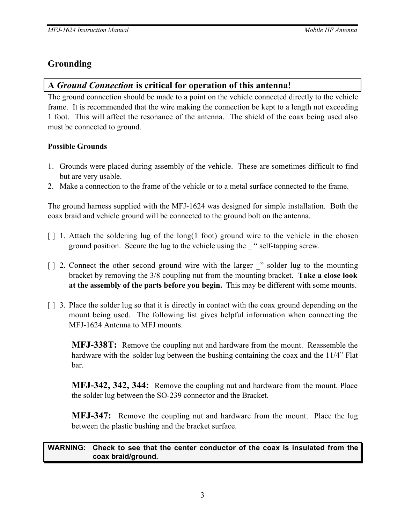## **Grounding**

### **A** *Ground Connection* **is critical for operation of this antenna!**

The ground connection should be made to a point on the vehicle connected directly to the vehicle frame. It is recommended that the wire making the connection be kept to a length not exceeding 1 foot. This will affect the resonance of the antenna. The shield of the coax being used also must be connected to ground.

### **Possible Grounds**

- 1. Grounds were placed during assembly of the vehicle. These are sometimes difficult to find but are very usable.
- 2. Make a connection to the frame of the vehicle or to a metal surface connected to the frame.

The ground harness supplied with the MFJ-1624 was designed for simple installation. Both the coax braid and vehicle ground will be connected to the ground bolt on the antenna.

- $\lceil \cdot \rceil$  1. Attach the soldering lug of the long(1 foot) ground wire to the vehicle in the chosen ground position. Secure the lug to the vehicle using the \_ " self-tapping screw.
- $\lceil \cdot \rceil$  2. Connect the other second ground wire with the larger  $\lceil \cdot \rceil$  solder lug to the mounting bracket by removing the 3/8 coupling nut from the mounting bracket. **Take a close look at the assembly of the parts before you begin.** This may be different with some mounts.
- [ ] 3. Place the solder lug so that it is directly in contact with the coax ground depending on the mount being used. The following list gives helpful information when connecting the MFJ-1624 Antenna to MFJ mounts.

**MFJ-338T:** Remove the coupling nut and hardware from the mount. Reassemble the hardware with the solder lug between the bushing containing the coax and the 11/4" Flat bar.

**MFJ-342, 342, 344:** Remove the coupling nut and hardware from the mount. Place the solder lug between the SO-239 connector and the Bracket.

**MFJ-347:** Remove the coupling nut and hardware from the mount. Place the lug between the plastic bushing and the bracket surface.

#### **WARNING: Check to see that the center conductor of the coax is insulated from the coax braid/ground.**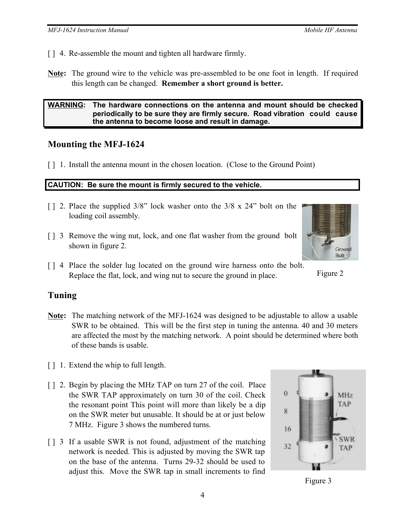- [] 4. Re-assemble the mount and tighten all hardware firmly.
- **Note:** The ground wire to the vehicle was pre-assembled to be one foot in length. If required this length can be changed. **Remember a short ground is better.**

#### **WARNING: The hardware connections on the antenna and mount should be checked periodically to be sure they are firmly secure. Road vibration could cause the antenna to become loose and result in damage.**

#### **Mounting the MFJ-1624**

[] 1. Install the antenna mount in the chosen location. (Close to the Ground Point)

#### **CAUTION: Be sure the mount is firmly secured to the vehicle.**

- [ ] 2. Place the supplied  $3/8$ " lock washer onto the  $3/8 \times 24$ " bolt on the loading coil assembly.
- [ ] 3 Remove the wing nut, lock, and one flat washer from the ground bolt shown in figure 2.
- [ ] 4 Place the solder lug located on the ground wire harness onto the bolt. Replace the flat, lock, and wing nut to secure the ground in place.

### **Tuning**

- **Note:** The matching network of the MFJ-1624 was designed to be adjustable to allow a usable SWR to be obtained. This will be the first step in tuning the antenna. 40 and 30 meters are affected the most by the matching network. A point should be determined where both of these bands is usable.
- [ ] 1. Extend the whip to full length.
- [ ] 2. Begin by placing the MHz TAP on turn 27 of the coil. Place the SWR TAP approximately on turn 30 of the coil. Check the resonant point This point will more than likely be a dip on the SWR meter but unusable. It should be at or just below 7 MHz. Figure 3 shows the numbered turns.
- [ ] 3 If a usable SWR is not found, adjustment of the matching network is needed. This is adjusted by moving the SWR tap on the base of the antenna. Turns 29-32 should be used to adjust this. Move the SWR tap in small increments to find







Figure 2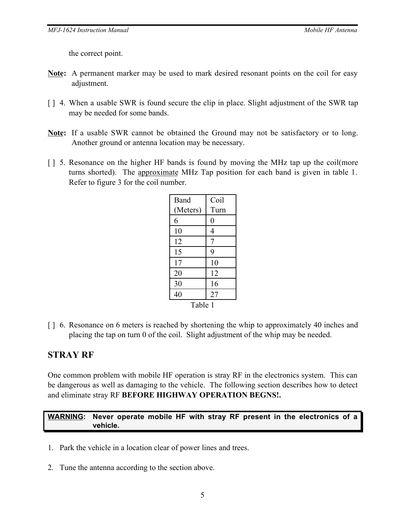the correct point.

- **Note:** A permanent marker may be used to mark desired resonant points on the coil for easy adjustment.
- [ ] 4. When a usable SWR is found secure the clip in place. Slight adjustment of the SWR tap may be needed for some bands.
- **Note:** If a usable SWR cannot be obtained the Ground may not be satisfactory or to long. Another ground or antenna location may be necessary.
- [ ] 5. Resonance on the higher HF bands is found by moving the MHz tap up the coil(more turns shorted). The approximate MHz Tap position for each band is given in table 1. Refer to figure 3 for the coil number.

| Band     | Coil |
|----------|------|
| (Meters) | Turn |
| 6        | 0    |
| 10       | 4    |
| 12       | 7    |
| 15       | 9    |
| 17       | 10   |
| 20       | 12   |
| 30       | 16   |
| 40       | 27   |
| Table 1  |      |

[ ] 6. Resonance on 6 meters is reached by shortening the whip to approximately 40 inches and placing the tap on turn 0 of the coil. Slight adjustment of the whip may be needed.

#### **STRAY RF**

One common problem with mobile HF operation is stray RF in the electronics system. This can be dangerous as well as damaging to the vehicle. The following section describes how to detect and eliminate stray RF **BEFORE HIGHWAY OPERATION BEGNS!.**

#### **WARNING: Never operate mobile HF with stray RF present in the electronics of a vehicle.**

- 1. Park the vehicle in a location clear of power lines and trees.
- 2. Tune the antenna according to the section above.